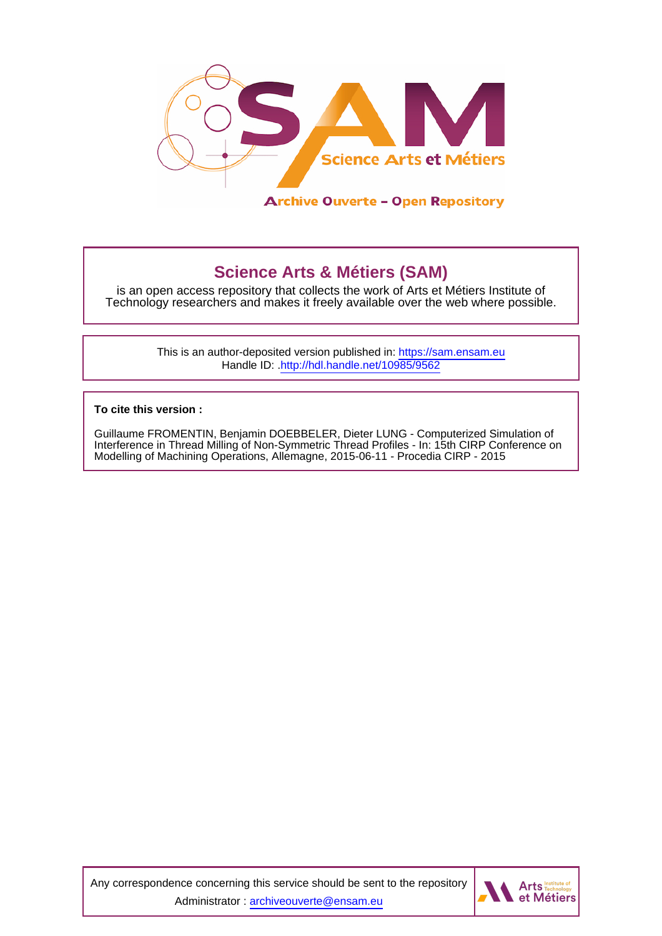

# **Science Arts & Métiers (SAM)**

is an open access repository that collects the work of Arts et Métiers Institute of Technology researchers and makes it freely available over the web where possible.

> This is an author-deposited version published in:<https://sam.ensam.eu> Handle ID: [.http://hdl.handle.net/10985/9562](http://hdl.handle.net/10985/9562)

**To cite this version :**

Guillaume FROMENTIN, Benjamin DOEBBELER, Dieter LUNG - Computerized Simulation of Interference in Thread Milling of Non-Symmetric Thread Profiles - In: 15th CIRP Conference on Modelling of Machining Operations, Allemagne, 2015-06-11 - Procedia CIRP - 2015

Any correspondence concerning this service should be sent to the repository Administrator : [archiveouverte@ensam.eu](mailto:archiveouverte@ensam.eu)

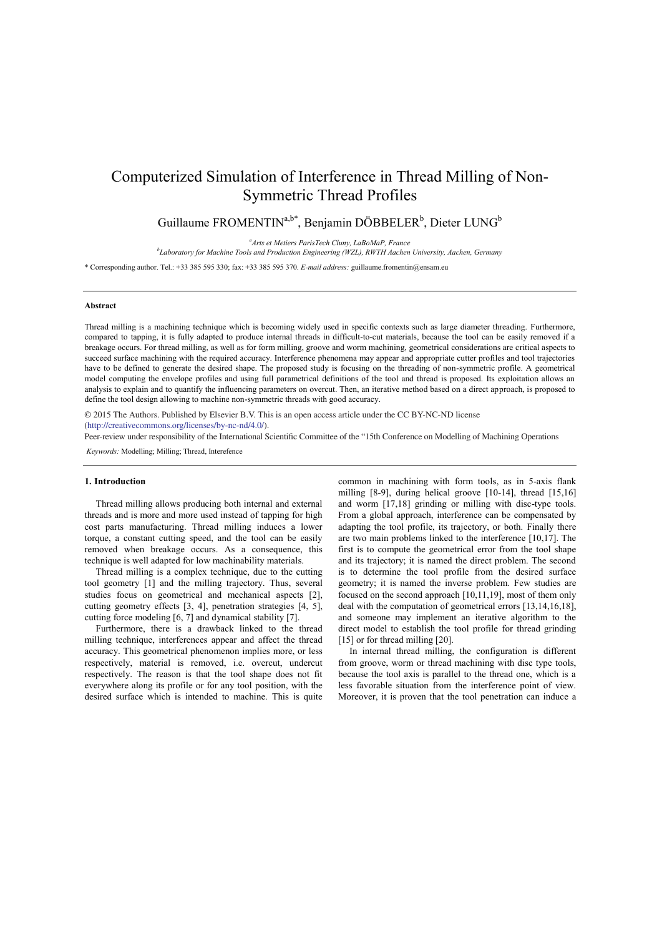# Computerized Simulation of Interference in Thread Milling of Non-Symmetric Thread Profiles

Guillaume FROMENTIN<sup>a,b\*</sup>, Benjamin DÖBBELER<sup>b</sup>, Dieter LUNG<sup>b</sup>

<sup>a</sup>Arts et Metiers ParisTech Cluny, LaBoMaP, France

*Arts et Metiers ParisTech Cluny, LaBoMaP, France b Laboratory for Machine Tools and Production Engineering (WZL), RWTH Aachen University, Aachen, Germany* 

\* Corresponding author. Tel.: +33 385 595 330; fax: +33 385 595 370. *E-mail address:* guillaume.fromentin@ensam.eu

#### **Abstract**

Thread milling is a machining technique which is becoming widely used in specific contexts such as large diameter threading. Furthermore, compared to tapping, it is fully adapted to produce internal threads in difficult-to-cut materials, because the tool can be easily removed if a breakage occurs. For thread milling, as well as for form milling, groove and worm machining, geometrical considerations are critical aspects to succeed surface machining with the required accuracy. Interference phenomena may appear and appropriate cutter profiles and tool trajectories have to be defined to generate the desired shape. The proposed study is focusing on the threading of non-symmetric profile. A geometrical model computing the envelope profiles and using full parametrical definitions of the tool and thread is proposed. Its exploitation allows an analysis to explain and to quantify the influencing parameters on overcut. Then, an iterative method based on a direct approach, is proposed to define the tool design allowing to machine non-symmetric threads with good accuracy.

© 2015 The Authors. Published by Elsevier B.V. (http://creativecommons.org/licenses/by-nc-nd/4.0/). © 2015 The Authors. Published by Elsevier B.V. This is an open access article under the CC BY-NC-ND license

Peer-review under responsibility of the International Scientific Committee of the "15th Conference on Modelling of Machining Operations

*Keywords:* Modelling; Milling; Thread, Interefence

#### **1. Introduction**

Thread milling allows producing both internal and external threads and is more and more used instead of tapping for high cost parts manufacturing. Thread milling induces a lower torque, a constant cutting speed, and the tool can be easily removed when breakage occurs. As a consequence, this technique is well adapted for low machinability materials.

Thread milling is a complex technique, due to the cutting tool geometry [1] and the milling trajectory. Thus, several studies focus on geometrical and mechanical aspects [2], cutting geometry effects [3, 4], penetration strategies [4, 5], cutting force modeling [6, 7] and dynamical stability [7].

Furthermore, there is a drawback linked to the thread milling technique, interferences appear and affect the thread accuracy. This geometrical phenomenon implies more, or less respectively, material is removed, i.e. overcut, undercut respectively. The reason is that the tool shape does not fit everywhere along its profile or for any tool position, with the desired surface which is intended to machine. This is quite common in machining with form tools, as in 5-axis flank milling [8-9], during helical groove [10-14], thread [15,16] and worm [17,18] grinding or milling with disc-type tools. From a global approach, interference can be compensated by adapting the tool profile, its trajectory, or both. Finally there are two main problems linked to the interference [10,17]. The first is to compute the geometrical error from the tool shape and its trajectory; it is named the direct problem. The second is to determine the tool profile from the desired surface geometry; it is named the inverse problem. Few studies are focused on the second approach [10,11,19], most of them only deal with the computation of geometrical errors [13,14,16,18], and someone may implement an iterative algorithm to the direct model to establish the tool profile for thread grinding [15] or for thread milling [20].

In internal thread milling, the configuration is different from groove, worm or thread machining with disc type tools, because the tool axis is parallel to the thread one, which is a less favorable situation from the interference point of view. Moreover, it is proven that the tool penetration can induce a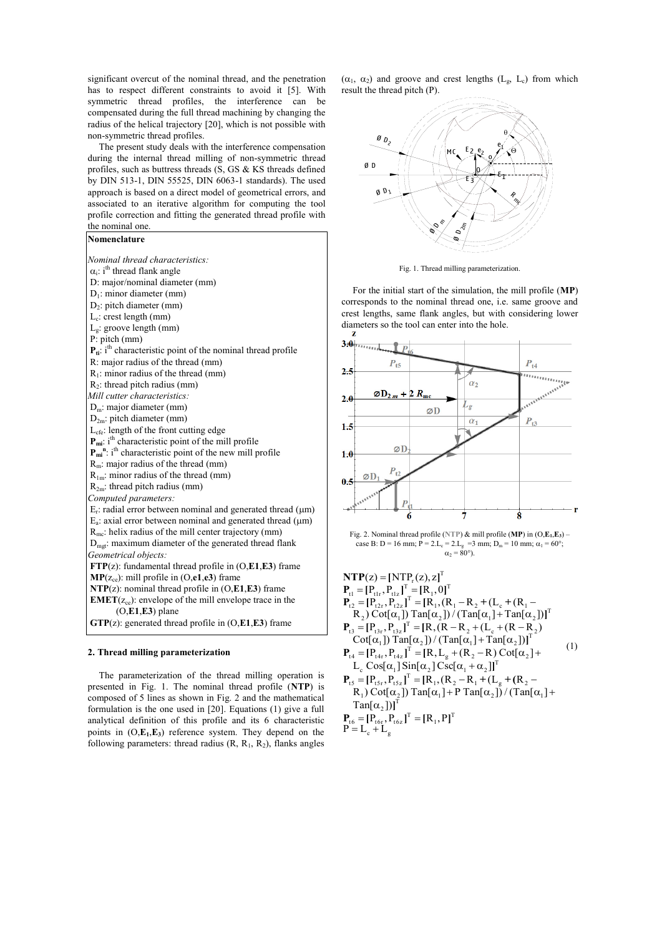significant overcut of the nominal thread, and the penetration has to respect different constraints to avoid it [5]. With symmetric thread profiles, the interference can be compensated during the full thread machining by changing the radius of the helical trajectory [20], which is not possible with non-symmetric thread profiles.

The present study deals with the interference compensation during the internal thread milling of non-symmetric thread profiles, such as buttress threads (S, GS & KS threads defined by DIN 513-1, DIN 55525, DIN 6063-1 standards). The used approach is based on a direct model of geometrical errors, and associated to an iterative algorithm for computing the tool profile correction and fitting the generated thread profile with the nominal one.

## **Nomenclature**

| Nominal thread characteristics:                                                     |
|-------------------------------------------------------------------------------------|
| $\alpha_i$ : i <sup>th</sup> thread flank angle                                     |
| D: major/nominal diameter (mm)                                                      |
| $D_1$ : minor diameter (mm)                                                         |
| $D_2$ : pitch diameter (mm)                                                         |
| $L_c$ : crest length (mm)                                                           |
| $L_g$ : groove length (mm)                                                          |
| $P:$ pitch (mm)                                                                     |
| $P_{ti}$ : i <sup>th</sup> characteristic point of the nominal thread profile       |
| R: major radius of the thread (mm)                                                  |
| $R_1$ : minor radius of the thread (mm)                                             |
| $R_2$ : thread pitch radius (mm)                                                    |
| Mill cutter characteristics:                                                        |
| $D_m$ : major diameter (mm)                                                         |
| $D_{2m}$ : pitch diameter (mm)                                                      |
| L <sub>cfe</sub> : length of the front cutting edge                                 |
| $\mathbf{P}_{\text{mi}}$ : i <sup>th</sup> characteristic point of the mill profile |
| $P_{mi}^{n}$ : i <sup>th</sup> characteristic point of the new mill profile         |
| $R_m$ : major radius of the thread (mm)                                             |
| $R_{1m}$ : minor radius of the thread (mm)                                          |
| $R_{2m}$ : thread pitch radius (mm)                                                 |
| Computed parameters:                                                                |
| $E_r$ : radial error between nominal and generated thread ( $\mu$ m)                |
| $E_a$ : axial error between nominal and generated thread ( $\mu$ m)                 |
| $R_{\text{mc}}$ : helix radius of the mill center trajectory (mm)                   |
| $Dmot$ : maximum diameter of the generated thread flank                             |
| Geometrical objects:                                                                |
| $FTP(z)$ : fundamental thread profile in $(O, E1, E3)$ frame                        |
| $MP(z_{ce})$ : mill profile in (O,e1,e3) frame                                      |
| $NTP(z)$ : nominal thread profile in $(O, E1, E3)$ frame                            |
| $EMET(z_{ce})$ : envelope of the mill envelope trace in the                         |
| $(O,E1,E3)$ plane                                                                   |
| $GTP(z)$ : generated thread profile in $(O, E1, E3)$ frame                          |
|                                                                                     |

### **2. Thread milling parameterization**

The parameterization of the thread milling operation is presented in Fig. 1. The nominal thread profile (**NTP**) is composed of 5 lines as shown in Fig. 2 and the mathematical formulation is the one used in [20]. Equations (1) give a full analytical definition of this profile and its 6 characteristic points in  $(O, E_1, E_3)$  reference system. They depend on the following parameters: thread radius  $(R, R_1, R_2)$ , flanks angles

 $(\alpha_1, \alpha_2)$  and groove and crest lengths  $(L_g, L_c)$  from which result the thread pitch (P).



Fig. 1. Thread milling parameterization.

For the initial start of the simulation, the mill profile (**MP**) corresponds to the nominal thread one, i.e. same groove and crest lengths, same flank angles, but with considering lower diameters so the tool can enter into the hole.



Fig. 2. Nominal thread profile (NTP)  $\&$  mill profile (MP) in  $(O, E_1, E_3)$  – case B: D = 16 mm;  $P = 2.L<sub>e</sub> = 2.L<sub>g</sub> = 3 mm; D<sub>m</sub> = 10 mm;  $\alpha_1 = 60^{\circ}$ ;$  $\alpha_2 = 80^\circ$ ).

$$
NTP(z) = [NTP_r(z), z]^T
$$
\n
$$
P_{t1} = [P_{t1r}, P_{t1z}]^T = [R_1, 0]^T
$$
\n
$$
P_{t2} = [P_{t2r}, P_{t2z}]^T = [R_1, (R_1 - R_2 + (L_c + (R_1 - R_2))Cot[\alpha_1])^T \text{Tan}[\alpha_2]) / (Tan[\alpha_1] + Tan[\alpha_2])^T
$$
\n
$$
P_{t3} = [P_{t3r}, P_{t3z}]^T = [R, (R - R_2 + (L_c + (R - R_2))Cot[\alpha_1])^T \text{Tan}[\alpha_2]) / (Tan[\alpha_1] + Tan[\alpha_2])]^T
$$
\n
$$
P_{t4} = [P_{t4r}, P_{t4z}]^T = [R, L_g + (R_2 - R) Cot[\alpha_2] + L_c Cos[\alpha_1] Sin[\alpha_2] Csc[\alpha_1 + \alpha_2]]^T
$$
\n
$$
P_{t5} = [P_{t5r}, P_{t5z}]^T = [R_1, (R_2 - R_1 + (L_g + (R_2 - R_1))Cot[\alpha_2])^T \text{Tan}[\alpha_2])^T
$$
\n
$$
P_{t6} = [P_{t6r}, P_{t6z}]^T = [R_1, P_1^T]
$$

$$
P = L_c + L_g
$$
  
 
$$
P = L_c + L_g
$$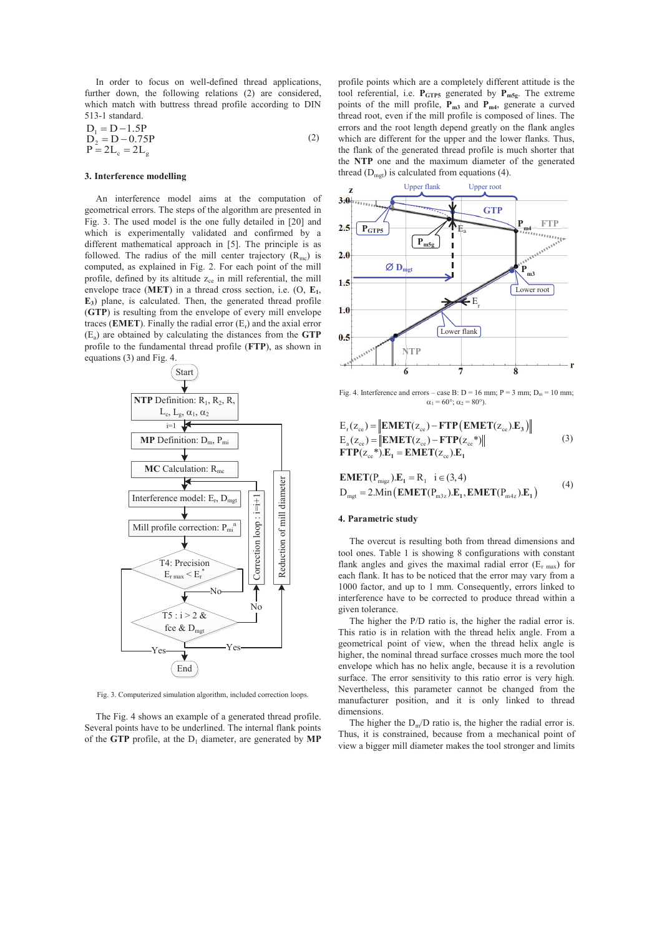In order to focus on well-defined thread applications, further down, the following relations (2) are considered, which match with buttress thread profile according to DIN 513-1 standard.

$$
D_1 = D - 1.5P
$$
  
\n
$$
D_2 = D - 0.75P
$$
  
\n
$$
P = 2L_e = 2L_g
$$
\n(2)

#### **3. Interference modelling**

An interference model aims at the computation of geometrical errors. The steps of the algorithm are presented in Fig. 3. The used model is the one fully detailed in [20] and which is experimentally validated and confirmed by a different mathematical approach in [5]. The principle is as followed. The radius of the mill center trajectory  $(R_{mc})$  is computed, as explained in Fig. 2. For each point of the mill profile, defined by its altitude  $z_{ce}$  in mill referential, the mill envelope trace (**MET**) in a thread cross section, i.e. (O, **E1**, **E3**) plane, is calculated. Then, the generated thread profile (**GTP**) is resulting from the envelope of every mill envelope traces (**EMET**). Finally the radial error  $(E_r)$  and the axial error (Ea) are obtained by calculating the distances from the **GTP** profile to the fundamental thread profile (**FTP**), as shown in equations (3) and Fig. 4.



Fig. 3. Computerized simulation algorithm, included correction loops.

The Fig. 4 shows an example of a generated thread profile. Several points have to be underlined. The internal flank points of the **GTP** profile, at the  $D_1$  diameter, are generated by **MP** 

profile points which are a completely different attitude is the tool referential, i.e.  $P_{GTP5}$  generated by  $P_{m5g}$ . The extreme points of the mill profile, **Pm3** and **Pm4**, generate a curved thread root, even if the mill profile is composed of lines. The errors and the root length depend greatly on the flank angles which are different for the upper and the lower flanks. Thus, the flank of the generated thread profile is much shorter that the **NTP** one and the maximum diameter of the generated thread  $(D_{\text{mgt}})$  is calculated from equations (4).



Fig. 4. Interference and errors – case B:  $D = 16$  mm;  $P = 3$  mm;  $D_m = 10$  mm;  $\alpha_1 = 60^\circ$ ;  $\alpha_2 = 80^\circ$ ).

$$
E_{r}(z_{ce}) = \left\| \mathbf{EMET}(z_{ce}) - \mathbf{FTP}(\mathbf{EMET}(z_{ce}).E_{3}) \right\|
$$
  
\n
$$
E_{a}(z_{ce}) = \left\| \mathbf{EMET}(z_{ce}) - \mathbf{FTP}(z_{ce}^{*}) \right\|
$$
  
\n
$$
\mathbf{FTP}(z_{ce}^{*}).E_{1} = \mathbf{EMET}(z_{ce}).E_{1}
$$
 (3)

**EMENT**(
$$
P_{\text{migg}}
$$
), $E_1 = R_1$  i  $\in (3, 4)$   
 $D_{\text{mgt}} = 2.\text{Min}(\text{EMET}(P_{\text{m3z}}))E_1, \text{EMET}(P_{\text{m4z}}))E_1$  (4)

#### **4. Parametric study**

The overcut is resulting both from thread dimensions and tool ones. Table 1 is showing 8 configurations with constant flank angles and gives the maximal radial error  $(E_{r \text{ max}})$  for each flank. It has to be noticed that the error may vary from a 1000 factor, and up to 1 mm. Consequently, errors linked to interference have to be corrected to produce thread within a given tolerance.

The higher the P/D ratio is, the higher the radial error is. This ratio is in relation with the thread helix angle. From a geometrical point of view, when the thread helix angle is higher, the nominal thread surface crosses much more the tool envelope which has no helix angle, because it is a revolution surface. The error sensitivity to this ratio error is very high. Nevertheless, this parameter cannot be changed from the manufacturer position, and it is only linked to thread dimensions.

The higher the  $D_m/D$  ratio is, the higher the radial error is. Thus, it is constrained, because from a mechanical point of view a bigger mill diameter makes the tool stronger and limits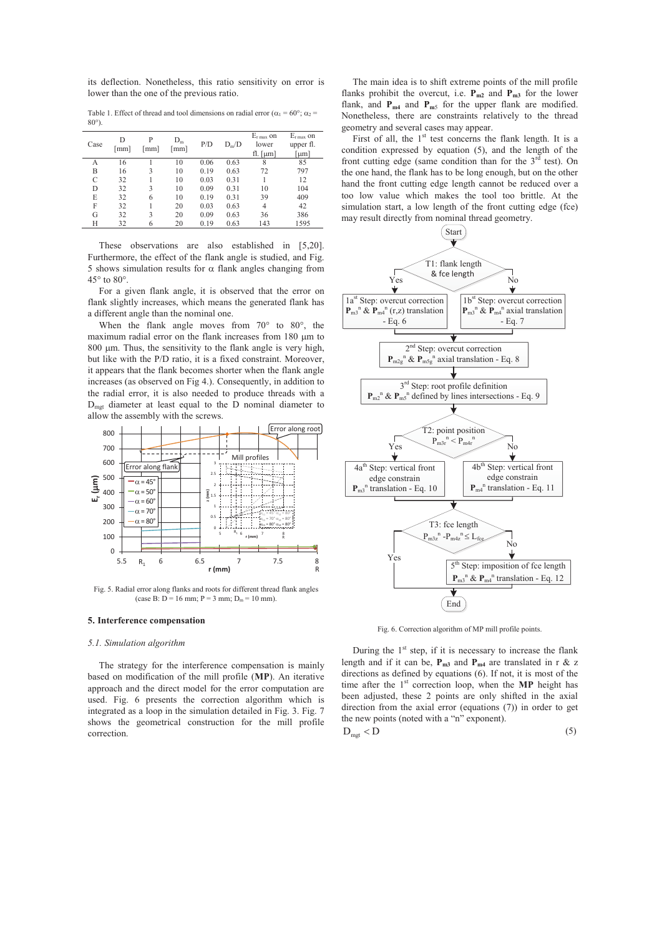its deflection. Nonetheless, this ratio sensitivity on error is lower than the one of the previous ratio.

Table 1. Effect of thread and tool dimensions on radial error ( $\alpha_1 = 60^\circ$ ;  $\alpha_2 =$  $80^\circ$ 

| Case | D<br>[mm] | P<br>[mm] | $D_m$<br>[mm] | P/D  | $D_m/D$ | $E_{r \max}$ on<br>lower<br>fl. $[\mu m]$ | $E_{r \max}$ on<br>upper fl.<br>[µm] |
|------|-----------|-----------|---------------|------|---------|-------------------------------------------|--------------------------------------|
| А    | 16        |           | 10            | 0.06 | 0.63    | 8                                         | 85                                   |
| B    | 16        | 3         | 10            | 0.19 | 0.63    | 72                                        | 797                                  |
| C    | 32        |           | 10            | 0.03 | 0.31    |                                           | 12                                   |
| D    | 32        | 3         | 10            | 0.09 | 0.31    | 10                                        | 104                                  |
| E    | 32        | 6         | 10            | 0.19 | 0.31    | 39                                        | 409                                  |
| F    | 32        |           | 20            | 0.03 | 0.63    | 4                                         | 42                                   |
| G    | 32        | 3         | 20            | 0.09 | 0.63    | 36                                        | 386                                  |
| Н    | 32        | 6         | 20            | 0.19 | 0.63    | 143                                       | 1595                                 |

These observations are also established in [5,20]. Furthermore, the effect of the flank angle is studied, and Fig. 5 shows simulation results for  $\alpha$  flank angles changing from 45° to 80°.

For a given flank angle, it is observed that the error on flank slightly increases, which means the generated flank has a different angle than the nominal one.

When the flank angle moves from 70° to 80°, the maximum radial error on the flank increases from  $180 \mu m$  to  $800 \mu m$ . Thus, the sensitivity to the flank angle is very high, but like with the P/D ratio, it is a fixed constraint. Moreover, it appears that the flank becomes shorter when the flank angle increases (as observed on Fig 4.). Consequently, in addition to the radial error, it is also needed to produce threads with a Dmgt diameter at least equal to the D nominal diameter to allow the assembly with the screws.



Fig. 5. Radial error along flanks and roots for different thread flank angles (case B:  $D = 16$  mm;  $P = 3$  mm;  $D_m = 10$  mm)

#### **5. Interference compensation**

#### *5.1. Simulation algorithm*

The strategy for the interference compensation is mainly based on modification of the mill profile (**MP**). An iterative approach and the direct model for the error computation are used. Fig. 6 presents the correction algorithm which is integrated as a loop in the simulation detailed in Fig. 3. Fig. 7 shows the geometrical construction for the mill profile correction.

The main idea is to shift extreme points of the mill profile flanks prohibit the overcut, i.e.  $P_{m2}$  and  $P_{m3}$  for the lower flank, and **P<sub>m4</sub>** and **P**<sub>m5</sub> for the upper flank are modified. Nonetheless, there are constraints relatively to the thread geometry and several cases may appear.

First of all, the  $1<sup>st</sup>$  test concerns the flank length. It is a condition expressed by equation (5), and the length of the front cutting edge (same condition than for the  $3<sup>rd</sup>$  test). On the one hand, the flank has to be long enough, but on the other hand the front cutting edge length cannot be reduced over a too low value which makes the tool too brittle. At the simulation start, a low length of the front cutting edge (fce) may result directly from nominal thread geometry.



Fig. 6. Correction algorithm of MP mill profile points.

During the  $1<sup>st</sup>$  step, if it is necessary to increase the flank length and if it can be,  $P_{m3}$  and  $P_{m4}$  are translated in r & z directions as defined by equations (6). If not, it is most of the time after the 1<sup>st</sup> correction loop, when the MP height has been adjusted, these 2 points are only shifted in the axial direction from the axial error (equations (7)) in order to get the new points (noted with a "n" exponent).

$$
D_{\text{mgt}} < D \tag{5}
$$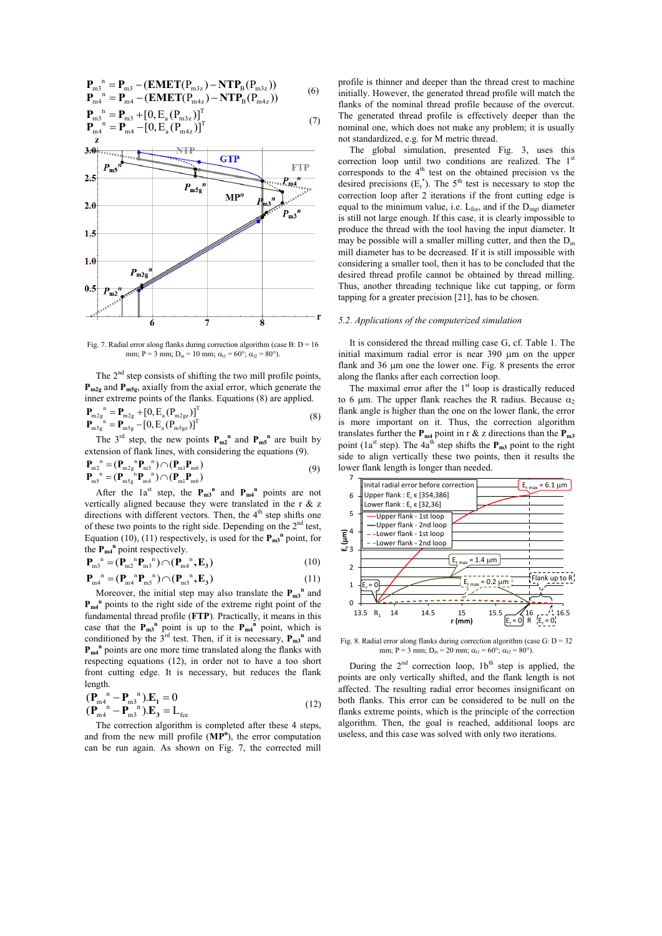$$
\begin{aligned}\n\mathbf{P}_{\text{m}1}^{\text{n}} &= \mathbf{P}_{\text{m}3} - (\mathbf{EMET}(\mathbf{P}_{\text{m}3z}) - \mathbf{NTP}_{\text{B}}(\mathbf{P}_{\text{m}3z})) \\
\mathbf{P}_{\text{m}4}^{\text{n}} &= \mathbf{P}_{\text{m}4} - (\mathbf{EMET}(\mathbf{P}_{\text{m}4z}) - \mathbf{NTP}_{\text{B}}(\mathbf{P}_{\text{m}4z})) \\
\mathbf{P}_{\text{m}3}^{\text{n}} &= \mathbf{P}_{\text{m}3} + [0, \mathbf{E}_{\text{a}}(\mathbf{P}_{\text{m}3z})]^{\text{T}}\n\end{aligned} \tag{6}
$$



Fig. 7. Radial error along flanks during correction algorithm (case B:  $D = 16$ mm; P = 3 mm; D<sub>m</sub> = 10 mm;  $\alpha_{11} = 60^{\circ}$ ;  $\alpha_{2} = 80^{\circ}$ ).

The  $2<sup>nd</sup>$  step consists of shifting the two mill profile points, **P<sub>m2g</sub>** and **P<sub>m5g</sub>**, axially from the axial error, which generate the inner extreme points of the flanks. Equations  $(8)$  are applied.

$$
\mathbf{P}_{\text{m2g}}^{\text{n}} = \mathbf{P}_{\text{m2g}} + [0, E_{\text{a}} (P_{\text{m2g}})]^{\text{T}} \n\mathbf{P}_{\text{m5g}}^{\text{n}} = \mathbf{P}_{\text{m5g}} - [0, E_{\text{a}} (P_{\text{m5g}})]^{\text{T}}
$$
\n(8)

The  $3^{rd}$  step, the new points  $P_{m2}^n$  and  $P_{m5}^n$  are built by extension of flank lines, with considering the equations (9).

$$
\begin{aligned} \mathbf{P}_{m2}^{\ n} &= (\mathbf{P}_{m2g}^{\ n} \mathbf{P}_{m3}^{\ n}) \cap (\mathbf{P}_{m1} \mathbf{P}_{m6}) \\ \mathbf{P}_{m5}^{\ n} &= (\mathbf{P}_{m5g}^{\ n} \mathbf{P}_{m4}^{\ n}) \cap (\mathbf{P}_{m1} \mathbf{P}_{m6}) \end{aligned} \tag{9}
$$

After the  $1a^{st}$  step, the  $P_{m3}^n$  and  $P_{m4}^n$  points are not vertically aligned because they were translated in the r  $\&$  z directions with different vectors. Then, the  $4<sup>th</sup>$  step shifts one of these two points to the right side. Depending on the  $2<sup>nd</sup>$  test, Equation (10), (11) respectively, is used for the  $P_{m3}$ <sup>n</sup> point, for the  $P_{m4}^n$  point respectively.<br>  $P_n^n - (P_n^n P_n^n) \odot (P_n^n)$ 

$$
\mathbf{P}_{m3}^{n} = (\mathbf{P}_{m2}^{n} \mathbf{P}_{m3}^{n}) \cap (\mathbf{P}_{m4}^{n} , \mathbf{E}_{3})
$$
\n
$$
\mathbf{P}_{m4}^{n} = (\mathbf{P}_{m4}^{n} \mathbf{P}_{m5}^{n}) \cap (\mathbf{P}_{m3}^{n} , \mathbf{E}_{3})
$$
\n(10)

Moreover, the initial step may also translate the  $P_{m3}$ <sup>n</sup> and  $P_{m4}$ <sup>n</sup> points to the right side of the extreme right point of the fundamental thread profile (**FTP**). Practically, it means in this case that the  $P_{m3}$ <sup>n</sup> point is up to the  $P_{m4}$ <sup>n</sup> point, which is conditioned by the  $3^{rd}$  test. Then, if it is necessary,  $P_{m3}^n$  and  $P_{m4}$ <sup>n</sup> points are one more time translated along the flanks with respecting equations (12), in order not to have a too short front cutting edge. It is necessary, but reduces the flank length.

$$
\begin{array}{l}\n(\mathbf{P}_{m4}^{\ n} - \mathbf{P}_{m3}^{\ n}).\mathbf{E}_{1} = 0\\
(\mathbf{P}_{m4}^{\ n} - \mathbf{P}_{m3}^{\ n}).\mathbf{E}_{3} = \mathbf{L}_{\text{free}}\n\end{array} \tag{12}
$$

The correction algorithm is completed after these 4 steps, and from the new mill profile (**MP<sup>n</sup>** ), the error computation can be run again. As shown on Fig. 7, the corrected mill

profile is thinner and deeper than the thread crest to machine initially. However, the generated thread profile will match the flanks of the nominal thread profile because of the overcut. The generated thread profile is effectively deeper than the nominal one, which does not make any problem; it is usually not standardized, e.g. for M metric thread.

The global simulation, presented Fig. 3, uses this correction loop until two conditions are realized. The  $1<sup>st</sup>$ corresponds to the  $4<sup>th</sup>$  test on the obtained precision vs the desired precisions  $(E_r^*)$ . The 5<sup>th</sup> test is necessary to stop the correction loop after 2 iterations if the front cutting edge is equal to the minimum value, i.e. L<sub>fce</sub>, and if the D<sub>mgt</sub> diameter is still not large enough. If this case, it is clearly impossible to produce the thread with the tool having the input diameter. It may be possible will a smaller milling cutter, and then the  $D<sub>m</sub>$ mill diameter has to be decreased. If it is still impossible with considering a smaller tool, then it has to be concluded that the desired thread profile cannot be obtained by thread milling. Thus, another threading technique like cut tapping, or form tapping for a greater precision [21], has to be chosen.

#### *5.2. Applications of the computerized simulation*

It is considered the thread milling case G, cf. Table 1. The initial maximum radial error is near  $390 \mu m$  on the upper flank and 36 um one the lower one. Fig. 8 presents the error along the flanks after each correction loop.

The maximal error after the  $1<sup>st</sup>$  loop is drastically reduced to 6 um. The upper flank reaches the R radius. Because  $\alpha_2$ flank angle is higher than the one on the lower flank, the error is more important on it. Thus, the correction algorithm translates further the  $P_{m4}$  point in r & z directions than the  $P_{m3}$ point (1a<sup>st</sup> step). The 4a<sup>th</sup> step shifts the  $P_{m3}$  point to the right side to align vertically these two points, then it results the lower flank length is longer than needed.



Fig. 8. Radial error along flanks during correction algorithm (case G:  $D = 32$ ) mm; P = 3 mm; D<sub>m</sub> = 20 mm;  $\alpha_{t1} = 60^{\circ}$ ;  $\alpha_{t2} = 80^{\circ}$ .

During the  $2<sup>nd</sup>$  correction loop,  $1<sup>th</sup>$  step is applied, the points are only vertically shifted, and the flank length is not affected. The resulting radial error becomes insignificant on both flanks. This error can be considered to be null on the flanks extreme points, which is the principle of the correction algorithm. Then, the goal is reached, additional loops are useless, and this case was solved with only two iterations.